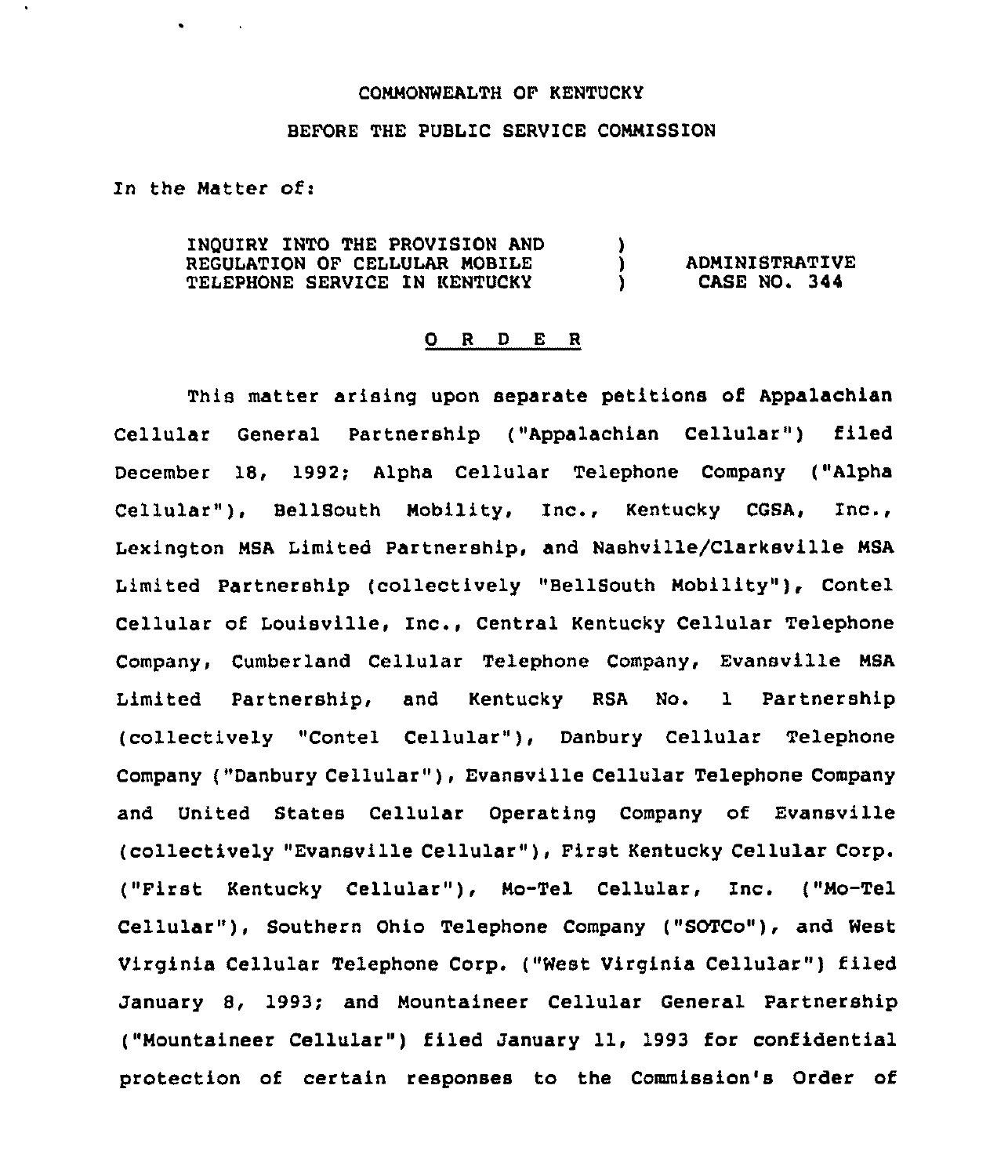## COMMONWEALTH OF KENTUCKY

## BEFORE THE PUBLIC SERVICE COMMISSION

In the Matter of:

 $\bullet$  . The second second  $\bullet$ 

INQUIRY INTO THE PROVISION AND  $\qquad$  )<br>REGULATION OF CELLULAR MOBILE REGULATION OF CELLULAR MOBILE  $\overrightarrow{D}$ <br>
TELEPHONE SERVICE IN KENTUCKY TELEPHONE SERVICE IN KENTUCKY ADMINISTRATIVE CASE NO. 344

## 0 <sup>R</sup> <sup>D</sup> <sup>E</sup> <sup>R</sup>

This matter arising upon separate petitions of Appalachian Cellular General Partnership ("Appalachian Cellular") filed December 18, 1992; Alpha Cellular Telephone Company ("Alpha Cellular" ), BellSouth Mobility, Inc., Kentucky COSA, Inc., Lexington MSA Limited Partnership, and Nashville/Clarksville MSA Limited Partnership (collectively "BellSouth Nobility" ), Contel Cellular of Louisville, Inc., Central Kentucky Cellular Telephone Company, Cumberland Cellular Telephone Company, Evansville MSA Limited Partnership, and Kentucky RSA No. 1 Partnership (collectively "Contel Cellular"}, Danbury Cellular Telephone Company ("Danbury Cellular" ), Evansville Cellular Telephone Company and United States Cellular Operating Company of Evansville (collectively "Evansville Cellular" ), First Kentucky Cellular Corp. ("First Kentucky Cellular" ), Mo-Tel Cellular, Inc. ("Mo-Tel Cellular" ), Southern Ohio Telephone Company ("SOTCo"), and West Virginia Cellular Telephone Corp. ("West Virginia Cellular" ) filed January S, 1993; and Mountaineer Cellular General Partnership ("Mountaineer Cellular") filed January 11, 1993 for confidential protection of certain responses to the Commission's Order of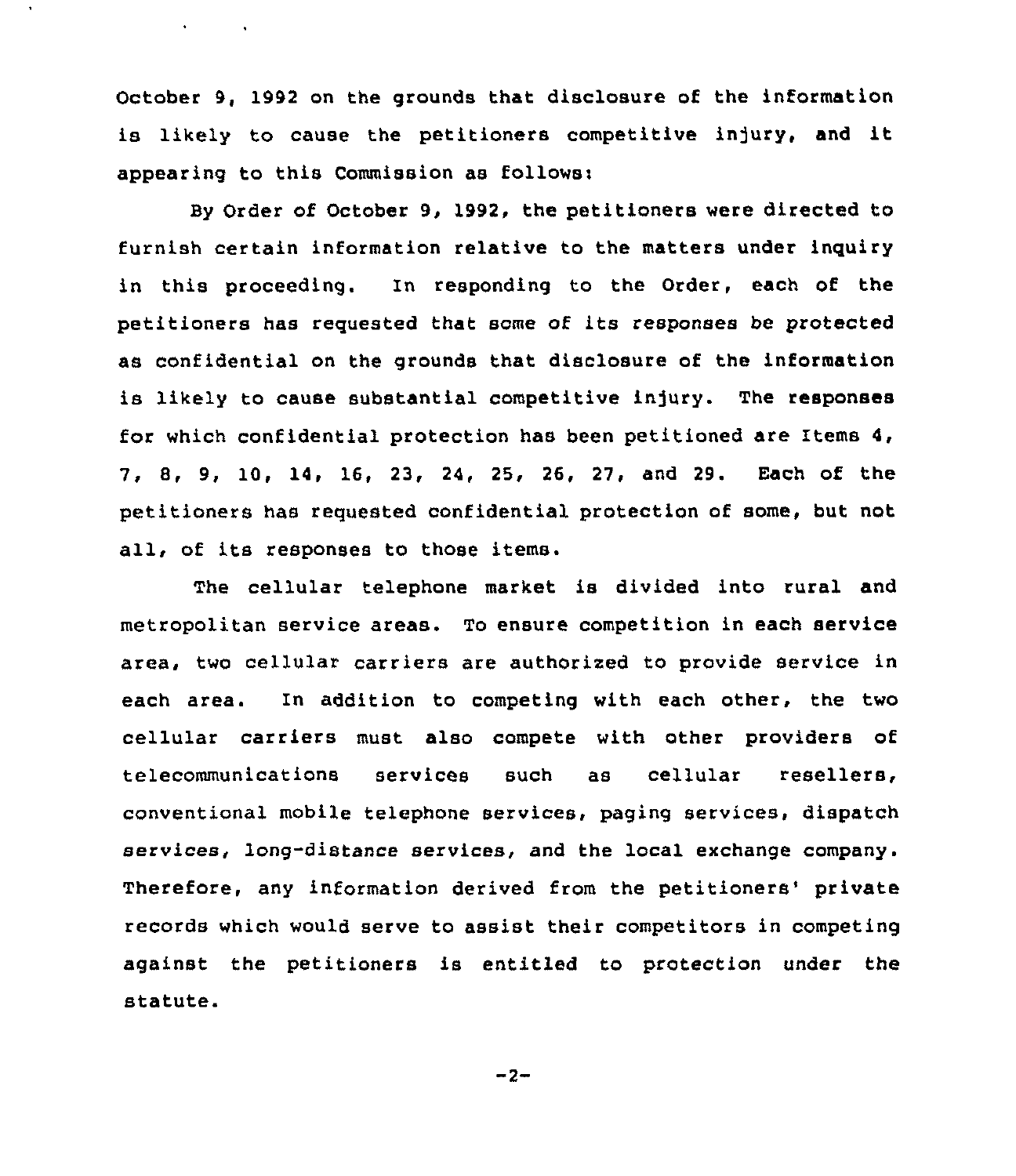October 9, 1992 on the grounds that disclosure of the information is likely to cause the petitioners competitive injury, and it appearing to this Commission as followsi

 $\mathbf{v} = \mathbf{v} \times \mathbf{v}$  ,  $\mathbf{v} = \mathbf{v}$ 

By Order of October 9, 1992, the petitioners were directed to furnish certain information relative to the matters under inquiry in this proceeding. In responding to the Order, each of the petitioners has requested that some of its responses be protected as confidential on the grounds that disclosure of the information is likely to cause substantial competitive injury. The responses for which confidential protection has been petitioned are Items 4, 7, 8, 9, 10, 14, 16, 23, 24, 25, 26, 27, and 29. Each of the petitioners has requested confidential protection of some, but not all, of its responses to those items.

The cellular telephone market is divided into rural and metropolitan service areas. To ensure competition in each service area, two cellular carriers are authorized to provide service in each area. In addition to competing with each other, the two cellular carriers must also compete with other providers of telecommunications services such as cellular resellers, conventional mobile telephone services, paging services, dispatch services, long-distance services, and the local exchange company. Therefore, any information derived from the petitioners' private records which would serve to assist their competitors in competing against the petitioners is entitled to protection under the statute.

 $-2-$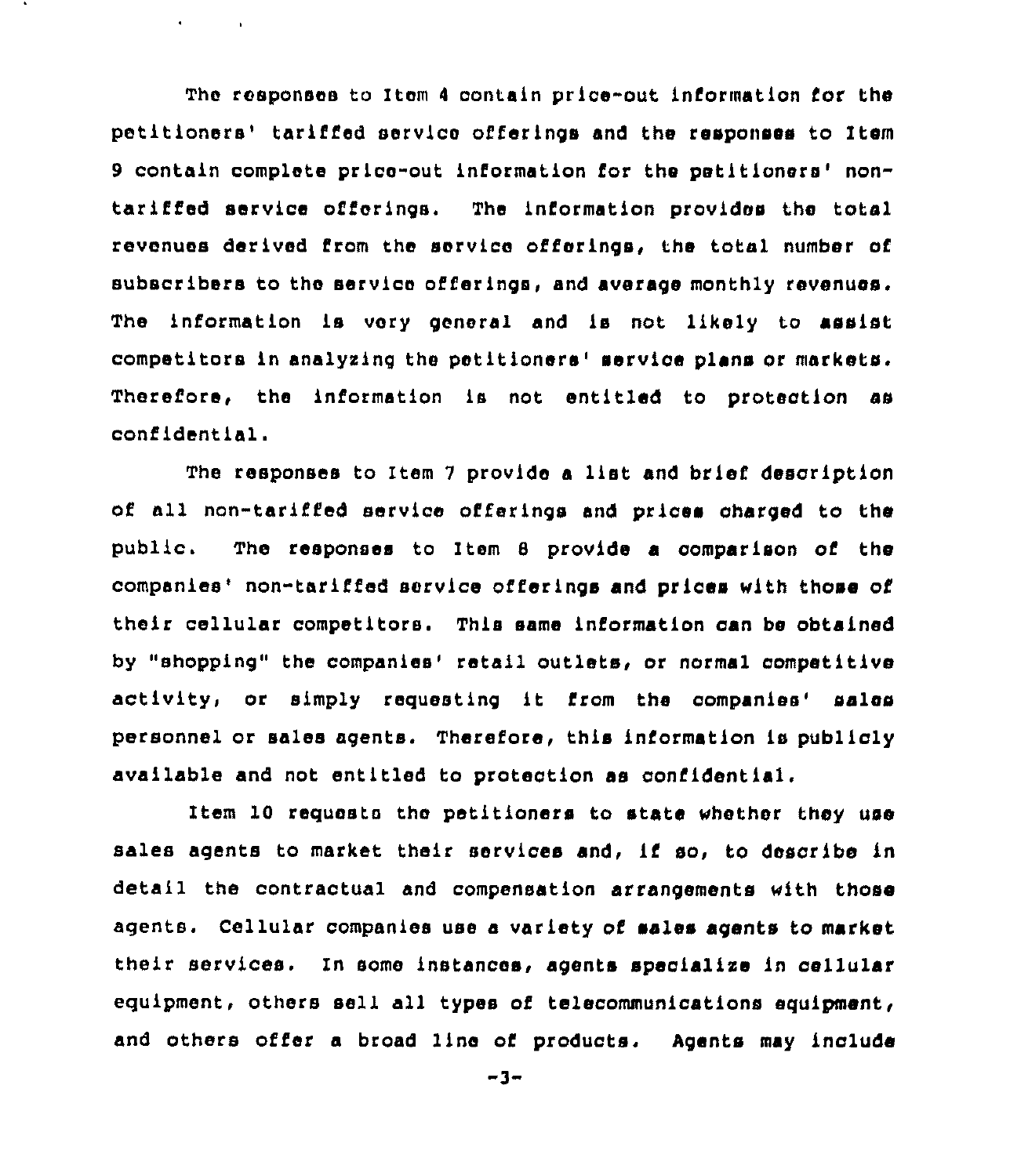The responses to Item 4 contain price-out information for the petitioners' tariffed service offerings and the responses to Item 9 contain complete price-out information for the petitioners' nontarified service offerings. The information provides the total revenues derived from the service offerings, the total number of subscribers to the service offerings, and average monthly revenues. The information is very general and ls not likely to assist competitors in analyzing the petitioners' service plans or markets. Therefore, the information is not entitled to protection ss confidential.

 $\bullet$  . The second second  $\mathcal{O}$ 

The responses to Item <sup>7</sup> provide <sup>a</sup> list and brief description of all non-tariffed service offerings and prices oharged to the public. The responses to Item 8 provide a comparison of the companies' non-tariffed service offerings and prices with those of their cellular competitors. This same information can be obtained by "shopping" the companies' retail outlets, or normal competitive activity, or simply requesting it from the companies' sales personnel or sales agents. Therefore, this information is publicly available and not entit1ed to protection as confidential.

Item 10 requests the petitioners to state whether they use sales agents to market their services and, if so, to describe ln detail the contractual and compensation arrangements with those agents. Cellular companies use a variety of sales agents to market their services. In some instances, agents speclallse in cellular equipment, others sell all types of telecommunications equipment, and others offer a broad 1ine of products. Agents may include

-3-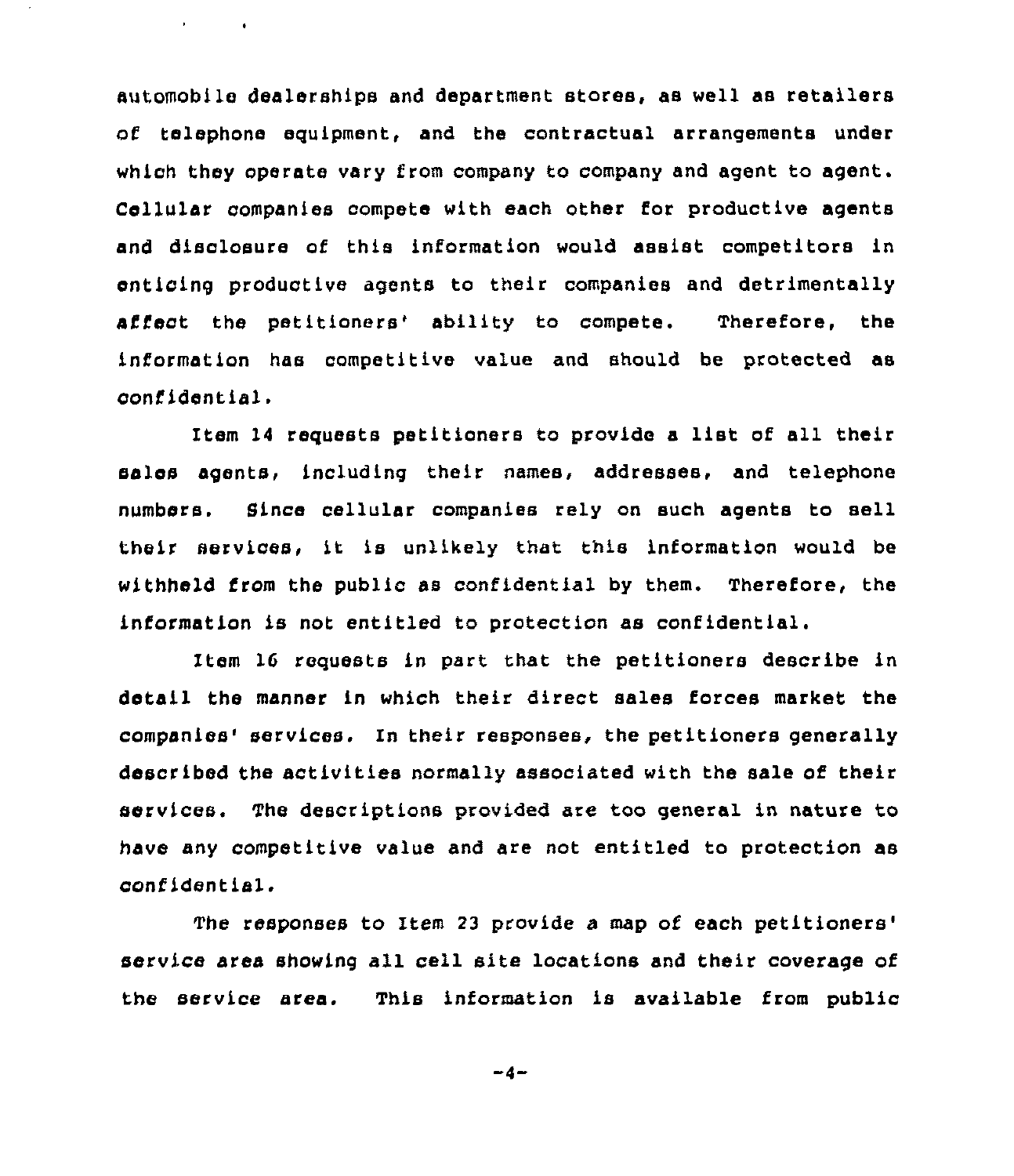automobile dealerships and department stores, as well as retailers of telephone equipment, and the contractual arrangements under which they operate vary from company to company and agent to agent. Cellular companies compete with each other for productive agents and disclosure of this information would assist competitors in enticing productive agents to their companies and detrimentally affect the petitioners' ability to compete. Therefore, the information has competitive value and should be protected as cont'ident is 1.

 $\mathbf{r} = \mathbf{r} \times \mathbf{r}$  . The  $\mathbf{r}$ 

Item <sup>14</sup> requests petitioners to provide <sup>a</sup> list of all their sales agents, including their names, addresses, and telephone numbers. Since cellular companies rely on such agents to sell their services, it is unlikely that this information would be withheld from the public as confidential by them. Therefore, the information is not entitled to protection as confidential.

Item 16 requests in part that the petitioners describe in detail the manner in which their direct sales forces market the companies' services. In their responses, the petitioners generally described the activities normally associated with the sale of their services. The descriptions provided are too general in nature to have any competitive value and are not entitled to protection as confidential.

The responses to Item 23 provide a map of each petitioners' service area showing all cell site locations and their coverage of the service area. This information is available from public

 $-4-$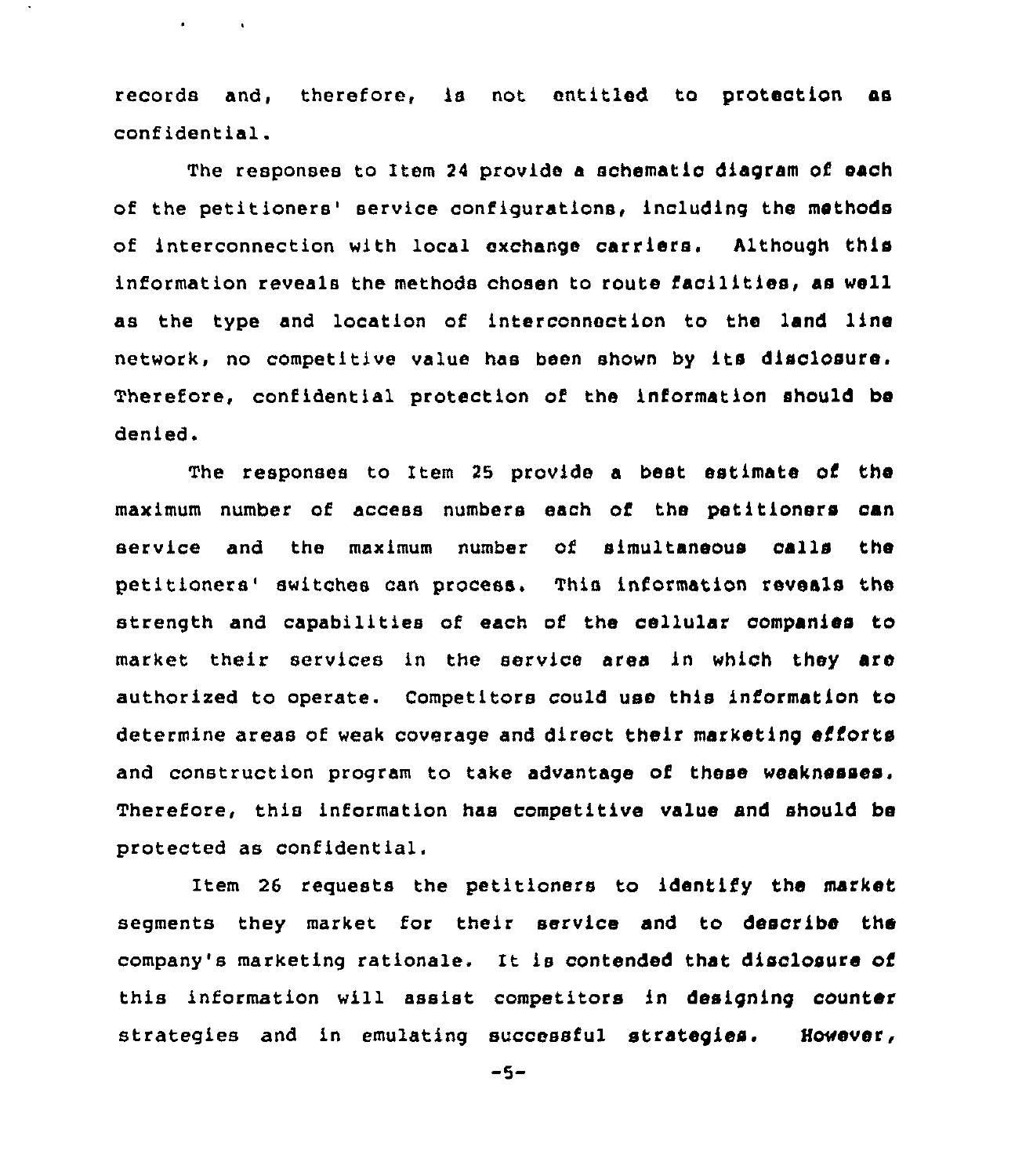records and, therefore, is not entitled to protection as conf ident ial.

 $\mathbf{r} = \mathbf{r}$ 

The responses to Item 24 provide a schematic diagram of each of the petitioners' service configurations, including the methods of interconnection with local exchange carriers. Although this information reveals the methods chosen to route facilities, as well as the type and location of interconnection to the land line network, no competitive value has been shown by its disclosure, Therefore, confidential protection of the information should be denied.

The responses to Item 25 provide a beet estimate of the maximum number of access numbers each of the petitioners can service and the maximum number of simultaneous oalls the petitioners' switches can process. This information reveals the strength and capabilities of each of the cellular companies to market their services in the service area in which they are authorized to operate. competitors could use this information to determine areas of weak coverage and direct their marketing efforts and construction program to take advantage of these weaknesses. Therefore, this information has competitive value and should be protected as confidential.

Item 26 requests the petitioners to identify the market segments they market for their service and to describe the company's marketing rationale. It is contended that disclosure of this information will assist competitors in designing counter strategies and in emulating successful strategies. However,

 $-5-$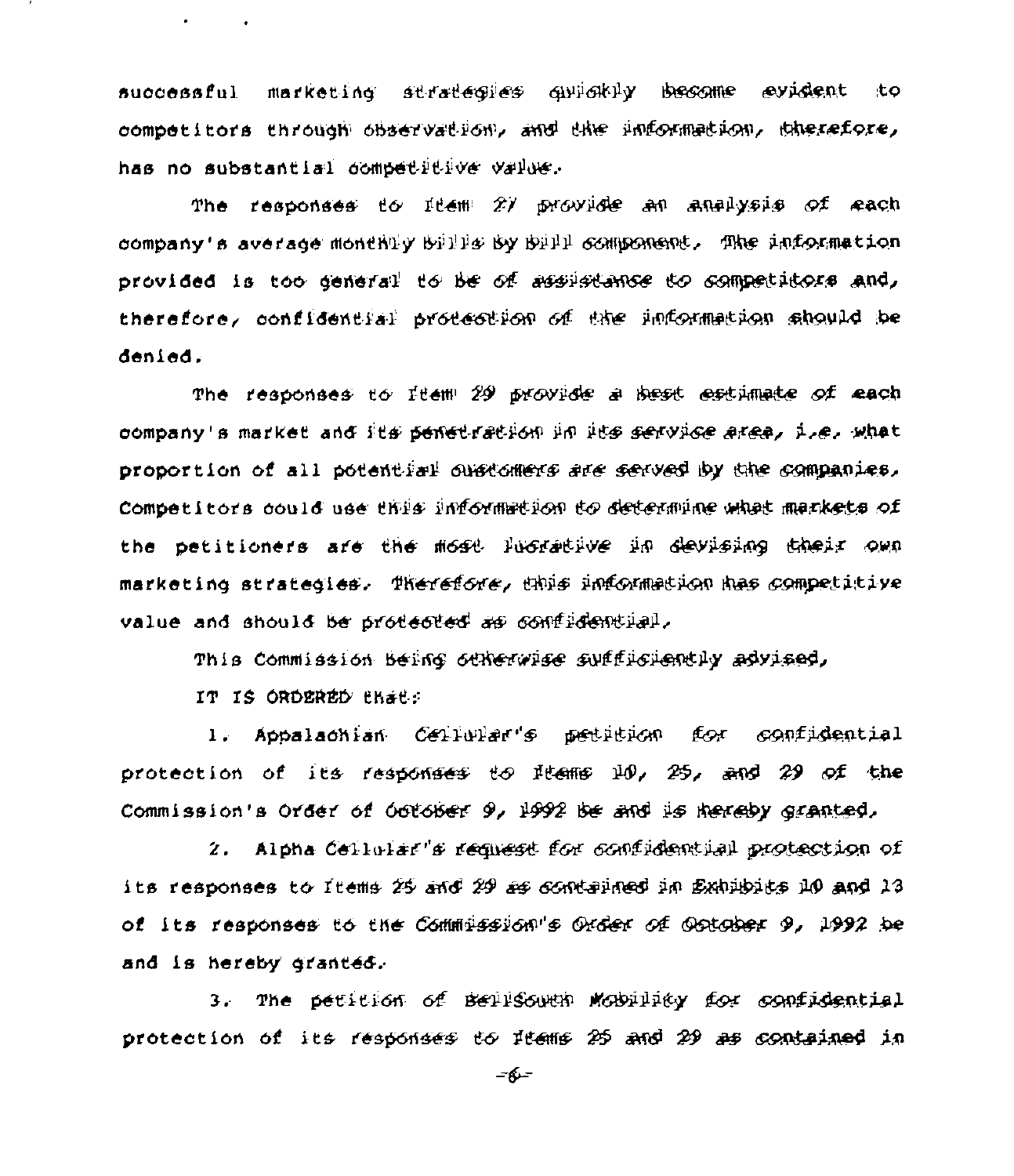successful marketing strategies quickly become evident to oompetitors through observation, and the information, therefore, has no substantial dompetitive value.

The responses to  $1$ tem  $2\%$  provide an analysis of each company's average monthtly bille by bill component. The information provided is too general to be of assistance to competitors and, therefore, confidential protection of the information should be denied.

The responses to ftem 29 provide a .<br><del>bes</del>t <del>es</del>timate of each company's market and its penet-ration in its service area, i.e. what proportion of all potential outstomers are served by the companies. competitors dould use this information to determine what markets of the petitioners are the most lugrative in devising their own marketing strategies. Therefore, thus information has competitive value and should be protected as confidential.

This Commission being otherwise sufficiently advised,

IT IS ORDERED that:

 $\sigma_{\rm{max}}=0.1$ 

1. Appalachian Cellular's petition for confidential protection of its responses to liens 10, 25, and 29 of the<br>Commission's Order of October 9, 1992 be and is hereby granted, Commission's Order of October 9, 1992 be and is hereby granted,

ion's Order of October 9, 1992 be and is hereby granted,<br>2. Alpha Cellular's request for confidential protection of its responses to Items 25 and 29 as confidential protection of<br>its responses to Items 25 and 29 as contained in Exhibits 10 and 13 of its responses to the Commission"s Order of Ootober 9, 1992 be and is hereby granted..

3. The petition of beilsowth mobiliky for confidential protection of its responses to Items 25 and 29 as contained in

 $-6 -$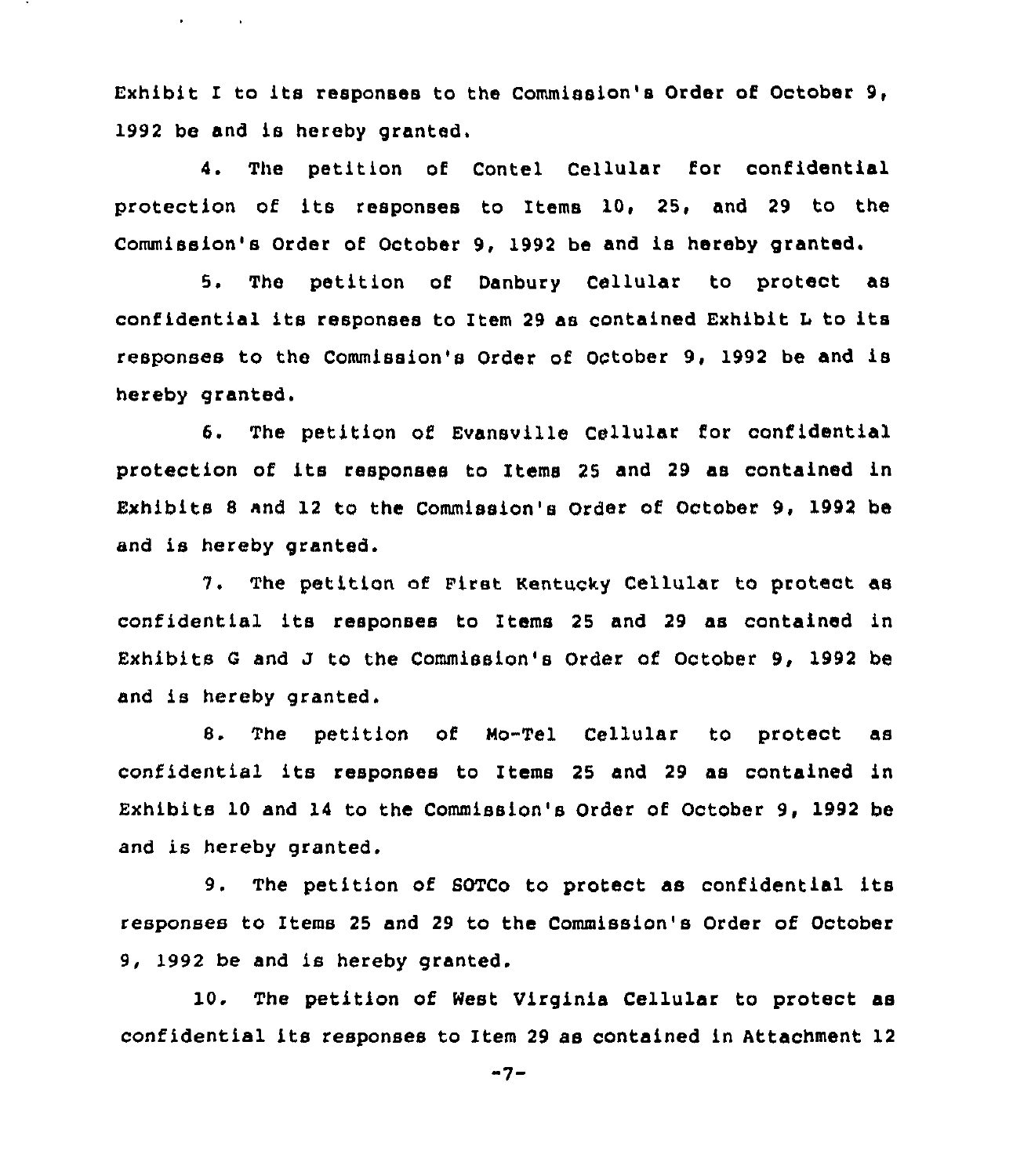Exhibit I to its responses to the Commission's Order of October 9, 1992 be and is hereby granted.

 $\bullet$  . The second second  $\bullet$ 

4. The petition of Contel Cellular for confidential protection of its responses to Items 10, 25, and 29 to the Commission's Order of October 9, 1992 be and is hereby granted.

5. The petition of Danbury Cellular to protect as confidential its responses to Item <sup>29</sup> as contained Exhibit <sup>L</sup> to its responses to the Commission'e Order of October 9, 1992 be and is hereby granted.

6. The petition of Evansville Cellular for confidential protection of its responses to Items <sup>25</sup> and <sup>29</sup> as contained in Exhibits <sup>8</sup> and 12 to the Commission's Order of October 9, 1992 be and is hereby granted.

7. The petition of First Kentucky cellular to protect as confidential its responses to Items <sup>25</sup> and <sup>29</sup> as contained in Exhibits <sup>G</sup> and J to the Commission's Order of October 9, 1992 be and is hereby granted.

8. The petition of Mo-Tel Cellular to protect as confidential its responses to Items <sup>25</sup> and <sup>29</sup> as contained in Exhibits 10 and 14 to the Commission's Order of October 9, 1992 be and is hereby granted.

9. The petition of GOTCo to protect as confidential its responses to Items 25 and 29 to the Commission's Order of October 9, 1992 be and is hereby granted.

10. The petition of West Virginia Cellular to protect as confidential its responses to Item <sup>29</sup> as contained in Attachment 12

"7-